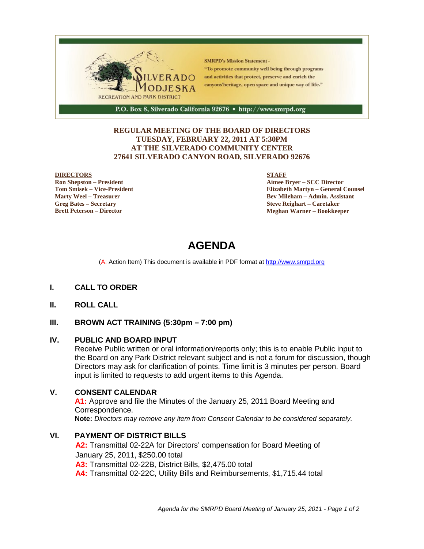

#### **REGULAR MEETING OF THE BOARD OF DIRECTORS TUESDAY, FEBRUARY 22, 2011 AT 5:30PM AT THE SILVERADO COMMUNITY CENTER 27641 SILVERADO CANYON ROAD, SILVERADO 92676**

#### **DIRECTORS**

**Ron Shepston – President Tom Smisek – Vice-President Marty Weel – Treasurer Greg Bates – Secretary Brett Peterson – Director**

#### **STAFF**

**Aimee Bryer – SCC Director Elizabeth Martyn – General Counsel Bev Mileham – Admin. Assistant Steve Reighart – Caretaker Meghan Warner – Bookkeeper**

# **AGENDA**

(A: Action Item) This document is available in PDF format at http://www.smrpd.org

#### **I. CALL TO ORDER**

**II. ROLL CALL**

#### **III. BROWN ACT TRAINING (5:30pm – 7:00 pm)**

#### **IV. PUBLIC AND BOARD INPUT**

Receive Public written or oral information/reports only; this is to enable Public input to the Board on any Park District relevant subject and is not a forum for discussion, though Directors may ask for clarification of points. Time limit is 3 minutes per person. Board input is limited to requests to add urgent items to this Agenda.

#### **V. CONSENT CALENDAR**

**A1:** Approve and file the Minutes of the January 25, 2011 Board Meeting and Correspondence. **Note:** *Directors may remove any item from Consent Calendar to be considered separately.*

# **VI. PAYMENT OF DISTRICT BILLS**

**A2:** Transmittal 02-22A for Directors' compensation for Board Meeting of January 25, 2011, \$250.00 total **A3:** Transmittal 02-22B, District Bills, \$2,475.00 total **A4:** Transmittal 02-22C, Utility Bills and Reimbursements, \$1,715.44 total